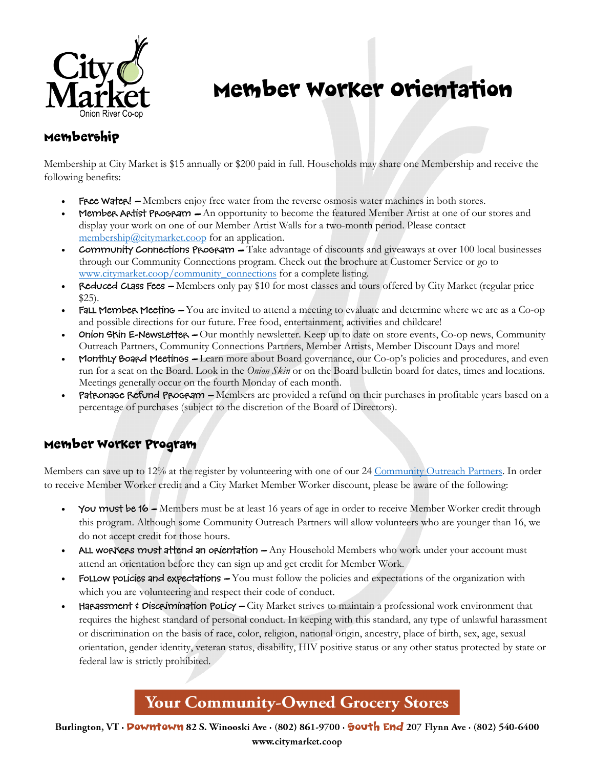

# Member Worker Orientation

### Membership

Membership at City Market is \$15 annually or \$200 paid in full. Households may share one Membership and receive the following benefits:

- Free Water! Members enjoy free water from the reverse osmosis water machines in both stores.
- Member Artist Program  $-$  An opportunity to become the featured Member Artist at one of our stores and display your work on one of our Member Artist Walls for a two-month period. Please contact [membership@citymarket.coop](mailto:membership@citymarket.coop) for an application.
- Community Connections Program  $-$  Take advantage of discounts and giveaways at over 100 local businesses through our Community Connections program. Check out the brochure at Customer Service or go to [www.citymarket.coop/community\\_connections](http://www.citymarket.coop/community_connections) for a complete listing.
- Reduced Class Fees Members only pay \$10 for most classes and tours offered by City Market (regular price \$25).
- FALL Member Meeting -You are invited to attend a meeting to evaluate and determine where we are as a Co-op and possible directions for our future. Free food, entertainment, activities and childcare!
- **Onion Skin E-Newsletter –** Our monthly newsletter. Keep up to date on store events, Co-op news, Community Outreach Partners, Community Connections Partners, Member Artists, Member Discount Days and more!
- Monthly Board Meetings Learn more about Board governance, our Co-op's policies and procedures, and even run for a seat on the Board. Look in the *Onion Skin* or on the Board bulletin board for dates, times and locations. Meetings generally occur on the fourth Monday of each month.
- Patronage Refund Program Members are provided a refund on their purchases in profitable years based on a percentage of purchases (subject to the discretion of the Board of Directors).

#### Member Worker Program

Members can save up to 12% at the register by volunteering with one of our 24 [Community Outreach Partners.](http://www.citymarket.coop/memberwork/community) In order to receive Member Worker credit and a City Market Member Worker discount, please be aware of the following:

- You must be 16 Members must be at least 16 years of age in order to receive Member Worker credit through this program. Although some Community Outreach Partners will allow volunteers who are younger than 16, we do not accept credit for those hours.
- ALL workers must attend an orientation Any Household Members who work under your account must attend an orientation before they can sign up and get credit for Member Work.
- FOLLOW POLICIES and expectations  $-$  You must follow the policies and expectations of the organization with which you are volunteering and respect their code of conduct.
- Harassment  $\dot{\phi}$  Discrimination Policy City Market strives to maintain a professional work environment that requires the highest standard of personal conduct. In keeping with this standard, any type of unlawful harassment or discrimination on the basis of race, color, religion, national origin, ancestry, place of birth, sex, age, sexual orientation, gender identity, veteran status, disability, HIV positive status or any other status protected by state or federal law is strictly prohibited.

## **Your Community-Owned Grocery Stores**

Burlington, VT · **Powntown** 82 S. Winooski Ave · (802) 861-9700 · **South End** 207 Flynn Ave · (802) 540-6400 www.citymarket.coop